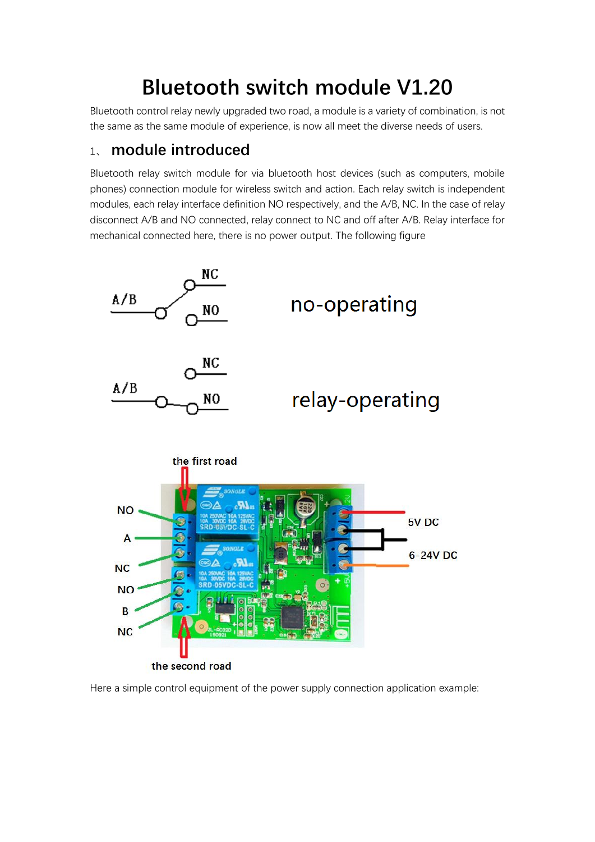## **Bluetooth switch module V1.20**

Bluetooth control relay newly upgraded two road, a module is a variety of combination, is not the same as the same module of experience, is now all meet the diverse needs of users.

## <sup>1</sup>、 **module introduced**

Bluetooth relay switch module for via bluetooth host devices (such as computers, mobile phones) connection module for wireless switch and action. Each relay switch is independent modules, each relay interface definition NO respectively, and the A/B, NC. In the case of relay disconnect A/B and NO connected, relay connect to NC and off after A/B. Relay interface for mechanical connected here, there is no power output. The following figure



Here a simple control equipment of the power supply connection application example: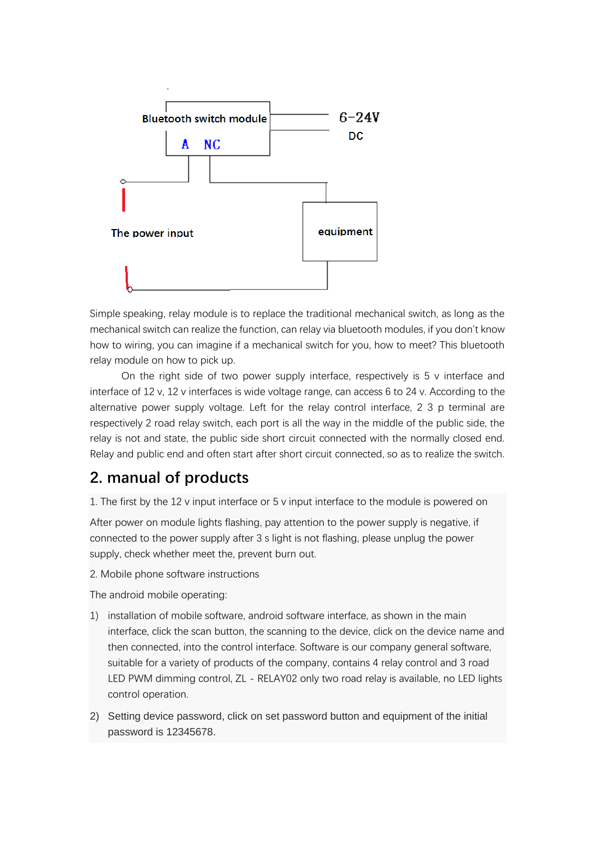

Simple speaking, relay module is to replace the traditional mechanical switch, as long as the mechanical switch can realize the function, can relay via bluetooth modules, if you don't know how to wiring, you can imagine if a mechanical switch for you, how to meet? This bluetooth relay module on how to pick up.

On the right side of two power supply interface, respectively is 5 v interface and interface of 12 v, 12 v interfaces is wide voltage range, can access 6 to 24 v. According to the alternative power supply voltage. Left for the relay control interface, 2 3 p terminal are respectively 2 road relay switch, each port is all the way in the middle of the public side, the relay is not and state, the public side short circuit connected with the normally closed end. Relay and public end and often start after short circuit connected, so as to realize the switch.

## **2. manual of products**

1. The first by the 12 v input interface or 5 v input interface to the module is powered on

After power on module lights flashing, pay attention to the power supply is negative, if connected to the power supply after 3 s light is not flashing, please unplug the power supply, check whether meet the, prevent burn out.

2. Mobile phone software instructions

The android mobile operating:

- 1) installation of mobile software, android software interface, as shown in the main interface, click the scan button, the scanning to the device, click on the device name and then connected, into the control interface. Software is our company general software, suitable for a variety of products of the company, contains 4 relay control and 3 road LED PWM dimming control, ZL - RELAY02 only two road relay is available, no LED lights control operation.
- 2) Setting device password, click on set password button and equipment of the initial password is 12345678.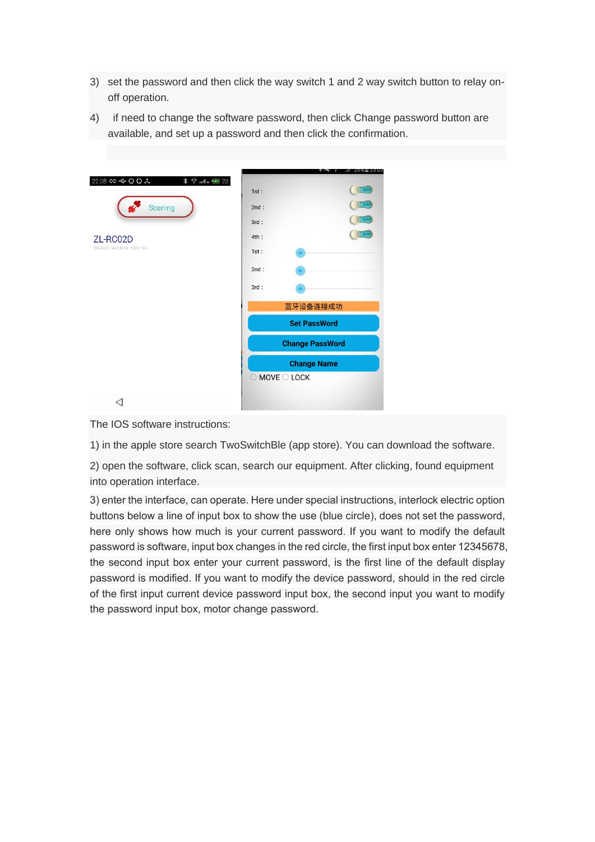- 3) set the password and then click the way switch 1 and 2 way switch button to relay onoff operation.
- 4) if need to change the software password, then click Change password button are available, and set up a password and then click the confirmation.

|                                              | う バートリー                | $41.23\% = 23.03$<br>- 49 |  |
|----------------------------------------------|------------------------|---------------------------|--|
| 22:08 00 ÷ Q Q 人<br>* <sup>=</sup> alls ■ 23 |                        |                           |  |
|                                              | 1st:                   | OFF                       |  |
| Scaning                                      | 2nd:                   | OFF                       |  |
|                                              | 3rd:                   | OFF                       |  |
| ZL-RC02D<br>BB:A0:51:A0:00:01 RSSI:-45       | 4th:                   | OFF                       |  |
|                                              | 1st:                   |                           |  |
|                                              | 2nd:                   |                           |  |
|                                              | 3rd:                   |                           |  |
|                                              | 蓝牙设备连接成功               |                           |  |
|                                              |                        | <b>Set PassWord</b>       |  |
|                                              | <b>Change PassWord</b> |                           |  |
|                                              | <b>Change Name</b>     |                           |  |
|                                              | O MOVE O LOCK          |                           |  |
|                                              |                        |                           |  |
|                                              |                        |                           |  |

The IOS software instructions:

1) in the apple store search TwoSwitchBle (app store). You can download the software.

2) open the software, click scan, search our equipment. After clicking, found equipment into operation interface.

3) enter the interface, can operate. Here under special instructions, interlock electric option buttons below a line of input box to show the use (blue circle), does not set the password, here only shows how much is your current password. If you want to modify the default password is software, input box changes in the red circle, the first input box enter 12345678, the second input box enter your current password, is the first line of the default display password is modified. If you want to modify the device password, should in the red circle of the first input current device password input box, the second input you want to modify the password input box, motor change password.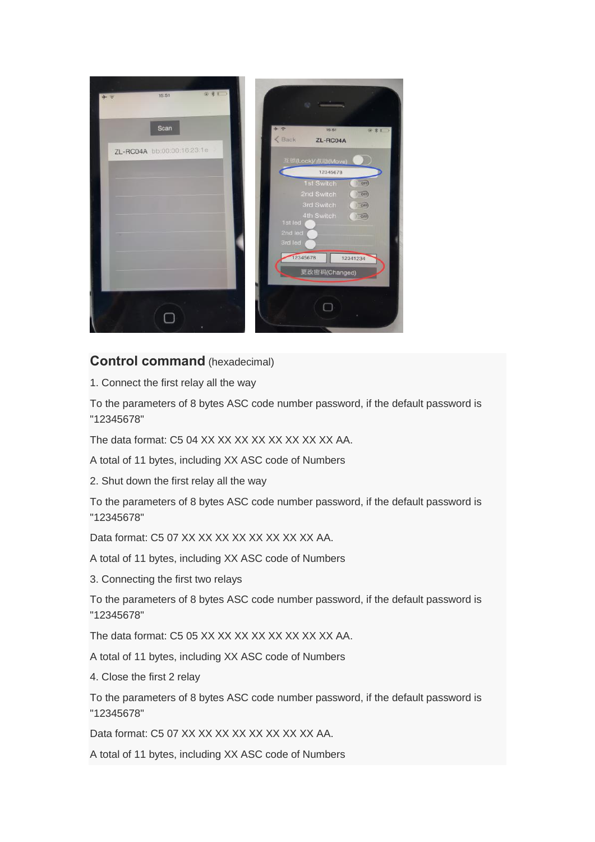

## **Control command** (hexadecimal)

1. Connect the first relay all the way

To the parameters of 8 bytes ASC code number password, if the default password is "12345678"

The data format: C5 04 XX XX XX XX XX XX XX XX AA.

A total of 11 bytes, including XX ASC code of Numbers

2. Shut down the first relay all the way

To the parameters of 8 bytes ASC code number password, if the default password is "12345678"

Data format: C5 07 XX XX XX XX XX XX XX XX AA.

A total of 11 bytes, including XX ASC code of Numbers

3. Connecting the first two relays

To the parameters of 8 bytes ASC code number password, if the default password is "12345678"

The data format: C5 05 XX XX XX XX XX XX XX XX AA.

A total of 11 bytes, including XX ASC code of Numbers

4. Close the first 2 relay

To the parameters of 8 bytes ASC code number password, if the default password is "12345678"

Data format: C5 07 XX XX XX XX XX XX XX XX AA.

A total of 11 bytes, including XX ASC code of Numbers